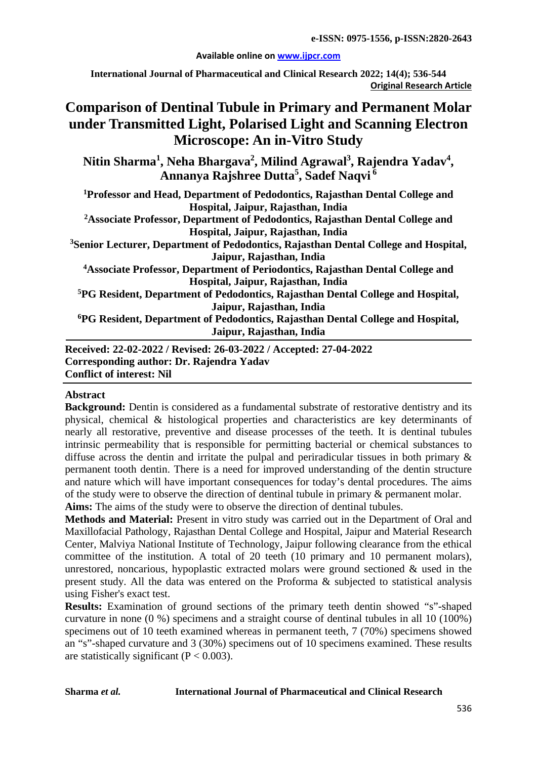#### **Available online on [www.ijpcr.com](http://www.ijpcr.com/)**

**International Journal of Pharmaceutical and Clinical Research 2022; 14(4); 536-544 Original Research Article**

# **Comparison of Dentinal Tubule in Primary and Permanent Molar under Transmitted Light, Polarised Light and Scanning Electron Microscope: An in-Vitro Study**

**Nitin Sharma<sup>1</sup> , Neha Bhargava2 , Milind Agrawal<sup>3</sup> , Rajendra Yadav<sup>4</sup> , Annanya Rajshree Dutta5 , Sadef Naqvi <sup>6</sup>**

**1Professor and Head, Department of Pedodontics, Rajasthan Dental College and Hospital, Jaipur, Rajasthan, India**

**2 Associate Professor, Department of Pedodontics, Rajasthan Dental College and Hospital, Jaipur, Rajasthan, India**

**3 Senior Lecturer, Department of Pedodontics, Rajasthan Dental College and Hospital, Jaipur, Rajasthan, India** 

**4Associate Professor, Department of Periodontics, Rajasthan Dental College and Hospital, Jaipur, Rajasthan, India** 

**5PG Resident, Department of Pedodontics, Rajasthan Dental College and Hospital, Jaipur, Rajasthan, India**

**6 PG Resident, Department of Pedodontics, Rajasthan Dental College and Hospital, Jaipur, Rajasthan, India**

**Received: 22-02-2022 / Revised: 26-03-2022 / Accepted: 27-04-2022 Corresponding author: Dr. Rajendra Yadav Conflict of interest: Nil**

# **Abstract**

**Background:** Dentin is considered as a fundamental substrate of restorative dentistry and its physical, chemical & histological properties and characteristics are key determinants of nearly all restorative, preventive and disease processes of the teeth. It is dentinal tubules intrinsic permeability that is responsible for permitting bacterial or chemical substances to diffuse across the dentin and irritate the pulpal and periradicular tissues in both primary  $\&$ permanent tooth dentin. There is a need for improved understanding of the dentin structure and nature which will have important consequences for today's dental procedures. The aims of the study were to observe the direction of dentinal tubule in primary & permanent molar. **Aims:** The aims of the study were to observe the direction of dentinal tubules.

**Methods and Material:** Present in vitro study was carried out in the Department of Oral and Maxillofacial Pathology, Rajasthan Dental College and Hospital, Jaipur and Material Research Center, Malviya National Institute of Technology, Jaipur following clearance from the ethical committee of the institution. A total of 20 teeth (10 primary and 10 permanent molars), unrestored, noncarious, hypoplastic extracted molars were ground sectioned  $\&$  used in the present study. All the data was entered on the Proforma & subjected to statistical analysis using Fisher's exact test.

**Results:** Examination of ground sections of the primary teeth dentin showed "s"-shaped curvature in none (0 %) specimens and a straight course of dentinal tubules in all 10 (100%) specimens out of 10 teeth examined whereas in permanent teeth, 7 (70%) specimens showed an "s"-shaped curvature and 3 (30%) specimens out of 10 specimens examined. These results are statistically significant  $(P < 0.003)$ .

#### **Sharma** *et al.* **International Journal of Pharmaceutical and Clinical Research**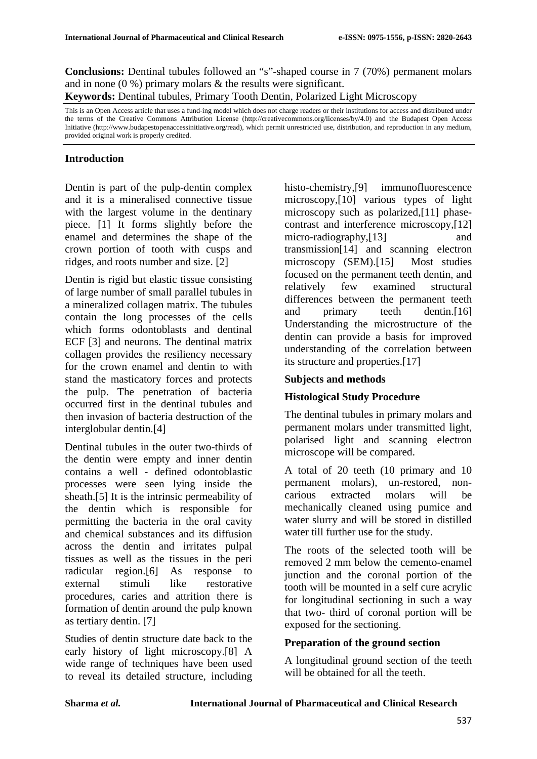**Conclusions:** Dentinal tubules followed an "s"-shaped course in 7 (70%) permanent molars and in none  $(0, % )$  primary molars & the results were significant.

**Keywords:** Dentinal tubules, Primary Tooth Dentin, Polarized Light Microscopy

This is an Open Access article that uses a fund-ing model which does not charge readers or their institutions for access and distributed under the terms of the Creative Commons Attribution License (http://creativecommons.org/licenses/by/4.0) and the Budapest Open Access Initiative (http://www.budapestopenaccessinitiative.org/read), which permit unrestricted use, distribution, and reproduction in any medium, provided original work is properly credited.

# **Introduction**

Dentin is part of the pulp-dentin complex and it is a mineralised connective tissue with the largest volume in the dentinary piece. [1] It forms slightly before the enamel and determines the shape of the crown portion of tooth with cusps and ridges, and roots number and size. [2]

Dentin is rigid but elastic tissue consisting of large number of small parallel tubules in a mineralized collagen matrix. The tubules contain the long processes of the cells which forms odontoblasts and dentinal ECF [3] and neurons. The dentinal matrix collagen provides the resiliency necessary for the crown enamel and dentin to with stand the masticatory forces and protects the pulp. The penetration of bacteria occurred first in the dentinal tubules and then invasion of bacteria destruction of the interglobular dentin.[4]

Dentinal tubules in the outer two-thirds of the dentin were empty and inner dentin contains a well - defined odontoblastic processes were seen lying inside the sheath.[5] It is the intrinsic permeability of the dentin which is responsible for permitting the bacteria in the oral cavity and chemical substances and its diffusion across the dentin and irritates pulpal tissues as well as the tissues in the peri radicular region.[6] As response to external stimuli like restorative procedures, caries and attrition there is formation of dentin around the pulp known as tertiary dentin. [7]

Studies of dentin structure date back to the early history of light microscopy.[8] A wide range of techniques have been used to reveal its detailed structure, including histo-chemistry,<sup>[9]</sup> immunofluorescence microscopy,[10] various types of light microscopy such as polarized,[11] phasecontrast and interference microscopy,[12] micro-radiography, [13] and transmission[14] and scanning electron microscopy (SEM).[15] Most studies focused on the permanent teeth dentin, and relatively few examined structural differences between the permanent teeth and primary teeth dentin.[16] Understanding the microstructure of the dentin can provide a basis for improved understanding of the correlation between its structure and properties.[17]

#### **Subjects and methods**

### **Histological Study Procedure**

The dentinal tubules in primary molars and permanent molars under transmitted light, polarised light and scanning electron microscope will be compared.

A total of 20 teeth (10 primary and 10 permanent molars), un-restored, noncarious extracted molars will be mechanically cleaned using pumice and water slurry and will be stored in distilled water till further use for the study.

The roots of the selected tooth will be removed 2 mm below the cemento-enamel junction and the coronal portion of the tooth will be mounted in a self cure acrylic for longitudinal sectioning in such a way that two- third of coronal portion will be exposed for the sectioning.

### **Preparation of the ground section**

A longitudinal ground section of the teeth will be obtained for all the teeth.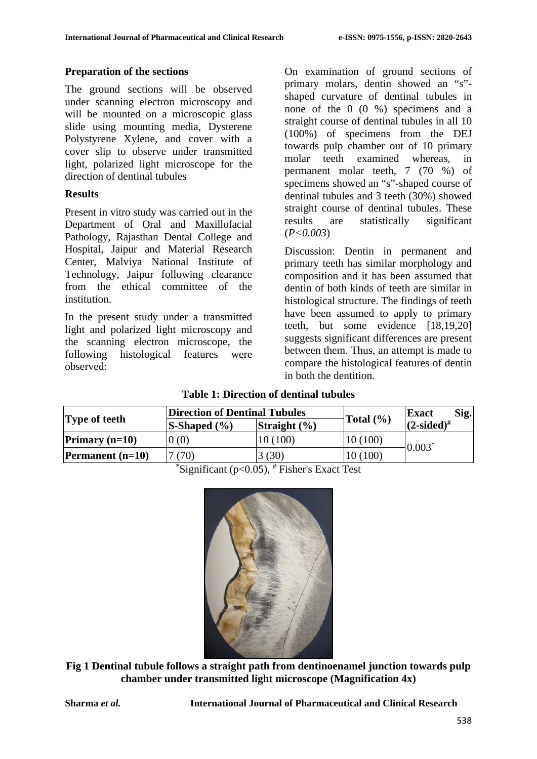## **Preparation of the sections**

The ground sections will be observed under scanning electron microscopy and will be mounted on a microscopic glass slide using mounting media, Dysterene Polystyrene Xylene, and cover with a cover slip to observe under transmitted light, polarized light microscope for the direction of dentinal tubules

# **Results**

Present in vitro study was carried out in the Department of Oral and Maxillofacial Pathology, Rajasthan Dental College and Hospital, Jaipur and Material Research Center, Malviya National Institute of Technology, Jaipur following clearance from the ethical committee of the institution.

In the present study under a transmitted light and polarized light microscopy and the scanning electron microscope, the following histological features were observed:

On examination of ground sections of primary molars, dentin showed an "s" shaped curvature of dentinal tubules in none of the 0 (0 %) specimens and a straight course of dentinal tubules in all 10 (100%) of specimens from the DEJ towards pulp chamber out of 10 primary molar teeth examined whereas, in permanent molar teeth, 7 (70 %) of specimens showed an "s"-shaped course of dentinal tubules and 3 teeth (30%) showed straight course of dentinal tubules. These results are statistically significant (*P<0.003*)

Discussion: Dentin in permanent and primary teeth has similar morphology and composition and it has been assumed that dentin of both kinds of teeth are similar in histological structure. The findings of teeth have been assumed to apply to primary teeth, but some evidence [18,19,20] suggests significant differences are present between them. Thus, an attempt is made to compare the histological features of dentin in both the dentition.

**Table 1: Direction of dentinal tubules**

| <b>Type of teeth</b>      | Direction of Dentinal Tubules |                  |               | $\textbf{Sig.}$<br><b>Exact</b> |
|---------------------------|-------------------------------|------------------|---------------|---------------------------------|
|                           | $S\text{-Shaped } (\% )$      | Straight $(\% )$ | Total $(\% )$ | $(2\t{-sided)}^{\#}$            |
| Primary $(n=10)$          | 0(0)                          | 10(100)          | 10(100)       | $0.003*$                        |
| <b>Permanent</b> $(n=10)$ | 7(70)                         | 3(30)            | 10(100)       |                                 |

\* Significant (p<0.05), # Fisher's Exact Test



**Fig 1 Dentinal tubule follows a straight path from dentinoenamel junction towards pulp chamber under transmitted light microscope (Magnification 4x)**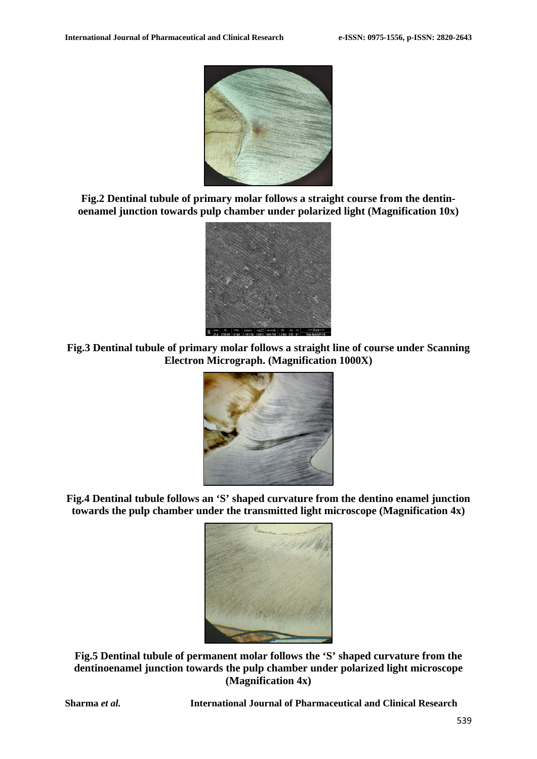

**Fig.2 Dentinal tubule of primary molar follows a straight course from the dentinoenamel junction towards pulp chamber under polarized light (Magnification 10x)**



**Fig.3 Dentinal tubule of primary molar follows a straight line of course under Scanning Electron Micrograph. (Magnification 1000X)**



**Fig.4 Dentinal tubule follows an 'S' shaped curvature from the dentino enamel junction towards the pulp chamber under the transmitted light microscope (Magnification 4x)**



**Fig.5 Dentinal tubule of permanent molar follows the 'S' shaped curvature from the dentinoenamel junction towards the pulp chamber under polarized light microscope (Magnification 4x)**

**Sharma** *et al.* **International Journal of Pharmaceutical and Clinical Research**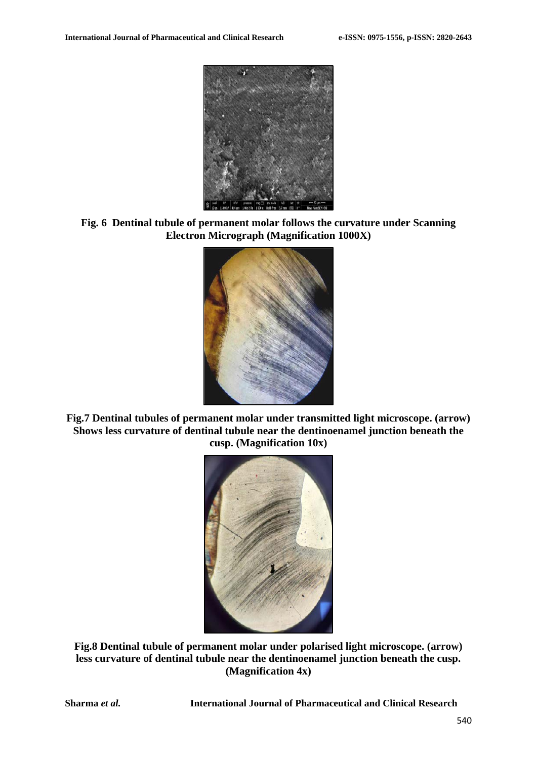

**Fig. 6 Dentinal tubule of permanent molar follows the curvature under Scanning Electron Micrograph (Magnification 1000X)**



**Fig.7 Dentinal tubules of permanent molar under transmitted light microscope. (arrow) Shows less curvature of dentinal tubule near the dentinoenamel junction beneath the cusp. (Magnification 10x)**



**Fig.8 Dentinal tubule of permanent molar under polarised light microscope. (arrow) less curvature of dentinal tubule near the dentinoenamel junction beneath the cusp. (Magnification 4x)**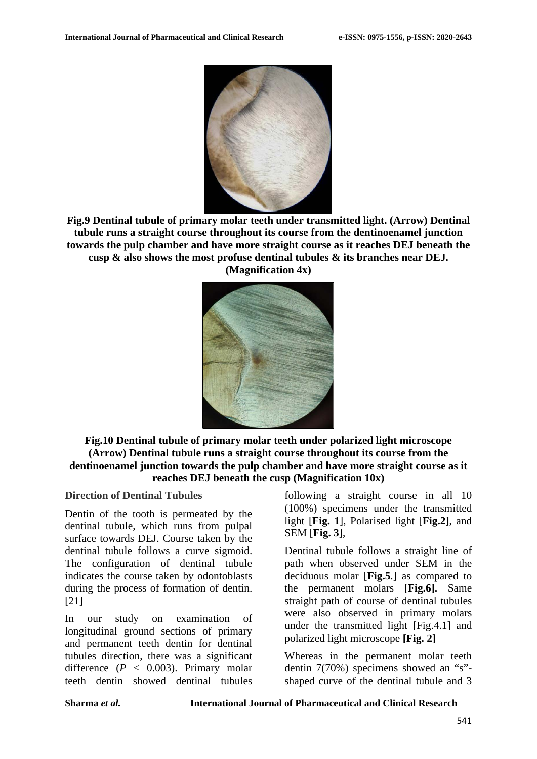

**Fig.9 Dentinal tubule of primary molar teeth under transmitted light. (Arrow) Dentinal tubule runs a straight course throughout its course from the dentinoenamel junction towards the pulp chamber and have more straight course as it reaches DEJ beneath the cusp & also shows the most profuse dentinal tubules & its branches near DEJ. (Magnification 4x)**



**Fig.10 Dentinal tubule of primary molar teeth under polarized light microscope (Arrow) Dentinal tubule runs a straight course throughout its course from the dentinoenamel junction towards the pulp chamber and have more straight course as it reaches DEJ beneath the cusp (Magnification 10x)**

#### **Direction of Dentinal Tubules**

Dentin of the tooth is permeated by the dentinal tubule, which runs from pulpal surface towards DEJ. Course taken by the dentinal tubule follows a curve sigmoid. The configuration of dentinal tubule indicates the course taken by odontoblasts during the process of formation of dentin. [21]

In our study on examination of longitudinal ground sections of primary and permanent teeth dentin for dentinal tubules direction, there was a significant difference  $(P < 0.003)$ . Primary molar teeth dentin showed dentinal tubules

following a straight course in all 10 (100%) specimens under the transmitted light [**Fig. 1**], Polarised light [**Fig.2]**, and SEM [**Fig. 3**],

Dentinal tubule follows a straight line of path when observed under SEM in the deciduous molar [**Fig.5**.] as compared to the permanent molars **[Fig.6].** Same straight path of course of dentinal tubules were also observed in primary molars under the transmitted light [Fig.4.1] and polarized light microscope **[Fig. 2]**

Whereas in the permanent molar teeth dentin 7(70%) specimens showed an "s" shaped curve of the dentinal tubule and 3

**Sharma** *et al.* **International Journal of Pharmaceutical and Clinical Research**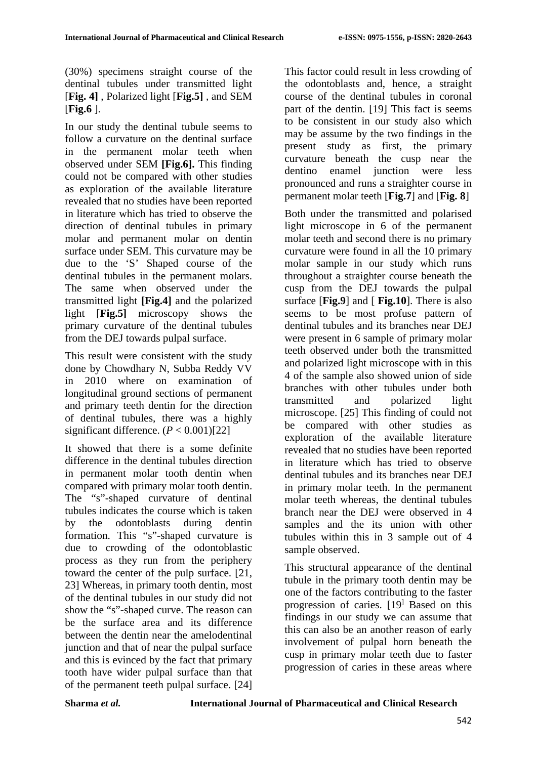(30%) specimens straight course of the dentinal tubules under transmitted light [**Fig. 4]** , Polarized light [**Fig.5]** , and SEM [**Fig.6** ].

In our study the dentinal tubule seems to follow a curvature on the dentinal surface in the permanent molar teeth when observed under SEM **[Fig.6].** This finding could not be compared with other studies as exploration of the available literature revealed that no studies have been reported in literature which has tried to observe the direction of dentinal tubules in primary molar and permanent molar on dentin surface under SEM. This curvature may be due to the 'S' Shaped course of the dentinal tubules in the permanent molars. The same when observed under the transmitted light **[Fig.4]** and the polarized light [**Fig.5]** microscopy shows the primary curvature of the dentinal tubules from the DEJ towards pulpal surface.

This result were consistent with the study done by Chowdhary N, Subba Reddy VV in 2010 where on examination of longitudinal ground sections of permanent and primary teeth dentin for the direction of dentinal tubules, there was a highly significant difference.  $(P < 0.001)$ [22]

It showed that there is a some definite difference in the dentinal tubules direction in permanent molar tooth dentin when compared with primary molar tooth dentin. The "s"-shaped curvature of dentinal tubules indicates the course which is taken by the odontoblasts during dentin formation. This "s"-shaped curvature is due to crowding of the odontoblastic process as they run from the periphery toward the center of the pulp surface. [21, 23] Whereas, in primary tooth dentin, most of the dentinal tubules in our study did not show the "s"-shaped curve. The reason can be the surface area and its difference between the dentin near the amelodentinal junction and that of near the pulpal surface and this is evinced by the fact that primary tooth have wider pulpal surface than that of the permanent teeth pulpal surface. [24] This factor could result in less crowding of the odontoblasts and, hence, a straight course of the dentinal tubules in coronal part of the dentin. [19] This fact is seems to be consistent in our study also which may be assume by the two findings in the present study as first, the primary curvature beneath the cusp near the dentino enamel junction were less pronounced and runs a straighter course in permanent molar teeth [**Fig.7**] and [**Fig. 8**]

Both under the transmitted and polarised light microscope in 6 of the permanent molar teeth and second there is no primary curvature were found in all the 10 primary molar sample in our study which runs throughout a straighter course beneath the cusp from the DEJ towards the pulpal surface [**Fig.9**] and [ **Fig.10**]. There is also seems to be most profuse pattern of dentinal tubules and its branches near DEJ were present in 6 sample of primary molar teeth observed under both the transmitted and polarized light microscope with in this 4 of the sample also showed union of side branches with other tubules under both transmitted and polarized light microscope. [25] This finding of could not be compared with other studies as exploration of the available literature revealed that no studies have been reported in literature which has tried to observe dentinal tubules and its branches near DEJ in primary molar teeth. In the permanent molar teeth whereas, the dentinal tubules branch near the DEJ were observed in 4 samples and the its union with other tubules within this in 3 sample out of 4 sample observed.

This structural appearance of the dentinal tubule in the primary tooth dentin may be one of the factors contributing to the faster progression of caries. [19] Based on this findings in our study we can assume that this can also be an another reason of early involvement of pulpal horn beneath the cusp in primary molar teeth due to faster progression of caries in these areas where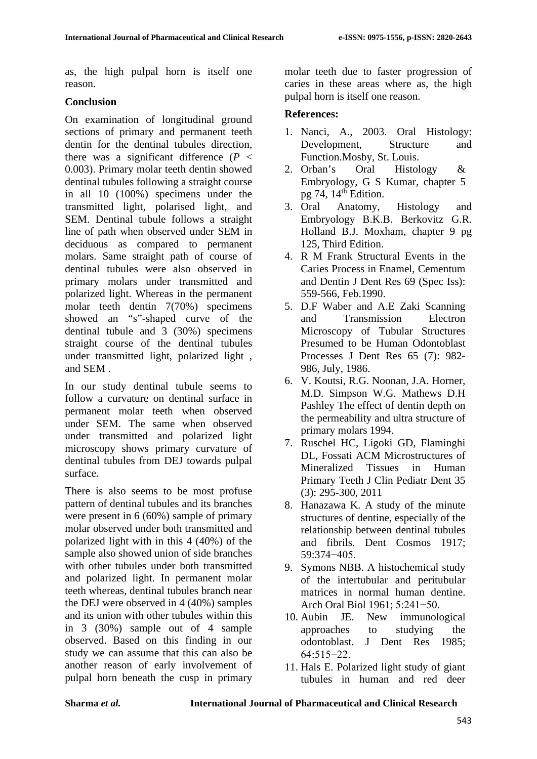as, the high pulpal horn is itself one reason.

### **Conclusion**

On examination of longitudinal ground sections of primary and permanent teeth dentin for the dentinal tubules direction, there was a significant difference  $(P \leq$ 0.003). Primary molar teeth dentin showed dentinal tubules following a straight course in all 10 (100%) specimens under the transmitted light, polarised light, and SEM. Dentinal tubule follows a straight line of path when observed under SEM in deciduous as compared to permanent molars. Same straight path of course of dentinal tubules were also observed in primary molars under transmitted and polarized light. Whereas in the permanent molar teeth dentin 7(70%) specimens showed an "s"-shaped curve of the dentinal tubule and 3 (30%) specimens straight course of the dentinal tubules under transmitted light, polarized light , and SEM .

In our study dentinal tubule seems to follow a curvature on dentinal surface in permanent molar teeth when observed under SEM. The same when observed under transmitted and polarized light microscopy shows primary curvature of dentinal tubules from DEJ towards pulpal surface.

There is also seems to be most profuse pattern of dentinal tubules and its branches were present in 6 (60%) sample of primary molar observed under both transmitted and polarized light with in this 4 (40%) of the sample also showed union of side branches with other tubules under both transmitted and polarized light. In permanent molar teeth whereas, dentinal tubules branch near the DEJ were observed in 4 (40%) samples and its union with other tubules within this in 3 (30%) sample out of 4 sample observed. Based on this finding in our study we can assume that this can also be another reason of early involvement of pulpal horn beneath the cusp in primary

molar teeth due to faster progression of caries in these areas where as, the high pulpal horn is itself one reason.

# **References:**

- 1. Nanci, A., 2003. Oral Histology: Development, Structure and Function.Mosby, St. Louis.
- 2. Orban's Oral Histology & Embryology, G S Kumar, chapter 5 pg 74,  $14<sup>th</sup>$  Edition.
- 3. Oral Anatomy, Histology and Embryology B.K.B. Berkovitz G.R. Holland B.J. Moxham, chapter 9 pg 125, Third Edition.
- 4. R M Frank Structural Events in the Caries Process in Enamel, Cementum and Dentin J Dent Res 69 (Spec Iss): 559-566, Feb.1990.
- 5. D.F Waber and A.E Zaki Scanning and Transmission Electron Microscopy of Tubular Structures Presumed to be Human Odontoblast Processes J Dent Res 65 (7): 982- 986, July, 1986.
- 6. V. Koutsi, R.G. Noonan, J.A. Horner, M.D. Simpson W.G. Mathews D.H Pashley The effect of dentin depth on the permeability and ultra structure of primary molars 1994.
- 7. Ruschel HC, Ligoki GD, Flaminghi DL, Fossati ACM Microstructures of Mineralized Tissues in Human Primary Teeth J Clin Pediatr Dent 35 (3): 295-300, 2011
- 8. Hanazawa K. A study of the minute structures of dentine, especially of the relationship between dentinal tubules and fibrils. Dent Cosmos 1917; 59:374−405.
- 9. Symons NBB. A histochemical study of the intertubular and peritubular matrices in normal human dentine. Arch Oral Biol 1961; 5:241−50.
- 10. Aubin JE. New immunological approaches to studying the odontoblast. J Dent Res 1985; 64:515−22.
- 11. Hals E. Polarized light study of giant tubules in human and red deer